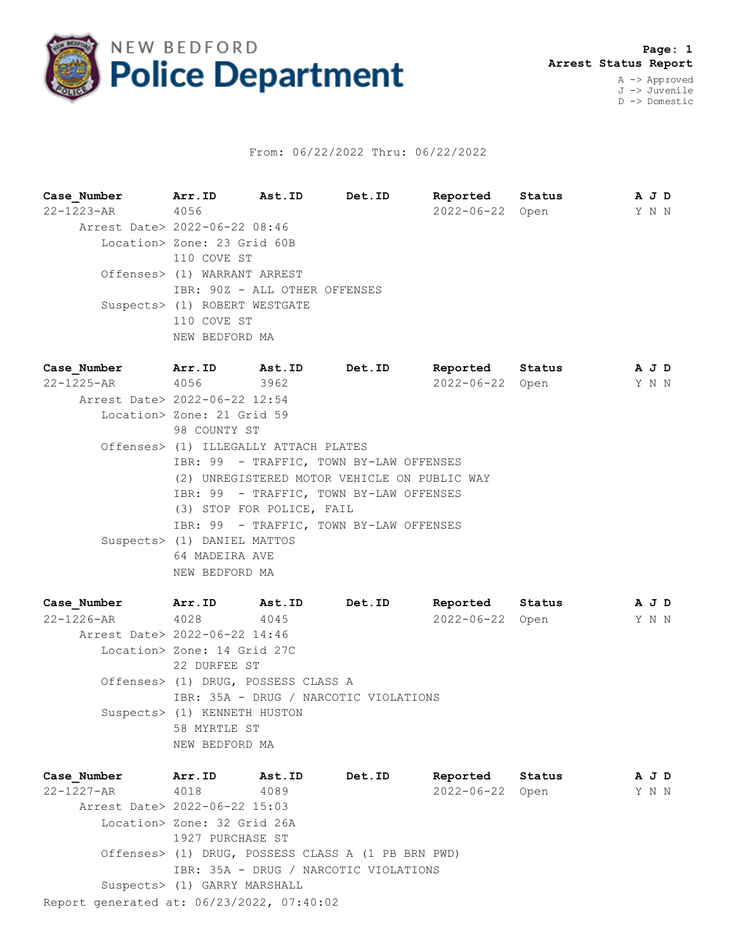

## From: 06/22/2022 Thru: 06/22/2022

**Case\_Number Arr.ID Ast.ID Det.ID Reported Status A J D** 22-1223-AR 4056 2022-06-22 Open Y N N Arrest Date> 2022-06-22 08:46 Location> Zone: 23 Grid 60B 110 COVE ST Offenses> (1) WARRANT ARREST IBR: 90Z - ALL OTHER OFFENSES Suspects> (1) ROBERT WESTGATE 110 COVE ST NEW BEDFORD MA **Case\_Number Arr.ID Ast.ID Det.ID Reported Status A J D**

22-1225-AR 4056 3962 2022-06-22 Open Y N N Arrest Date> 2022-06-22 12:54 Location> Zone: 21 Grid 59 98 COUNTY ST Offenses> (1) ILLEGALLY ATTACH PLATES IBR: 99 - TRAFFIC, TOWN BY-LAW OFFENSES (2) UNREGISTERED MOTOR VEHICLE ON PUBLIC WAY IBR: 99 - TRAFFIC, TOWN BY-LAW OFFENSES (3) STOP FOR POLICE, FAIL IBR: 99 - TRAFFIC, TOWN BY-LAW OFFENSES Suspects> (1) DANIEL MATTOS 64 MADEIRA AVE NEW BEDFORD MA

**Case\_Number Arr.ID Ast.ID Det.ID Reported Status A J D** 22-1226-AR 4028 4045 2022-06-22 Open Y N N Arrest Date> 2022-06-22 14:46 Location> Zone: 14 Grid 27C 22 DURFEE ST Offenses> (1) DRUG, POSSESS CLASS A IBR: 35A - DRUG / NARCOTIC VIOLATIONS Suspects> (1) KENNETH HUSTON 58 MYRTLE ST NEW BEDFORD MA

Report generated at: 06/23/2022, 07:40:02 **Case\_Number Arr.ID Ast.ID Det.ID Reported Status A J D** 22-1227-AR 4018 4089 2022-06-22 Open Y N N Arrest Date> 2022-06-22 15:03 Location> Zone: 32 Grid 26A 1927 PURCHASE ST Offenses> (1) DRUG, POSSESS CLASS A (1 PB BRN PWD) IBR: 35A - DRUG / NARCOTIC VIOLATIONS Suspects> (1) GARRY MARSHALL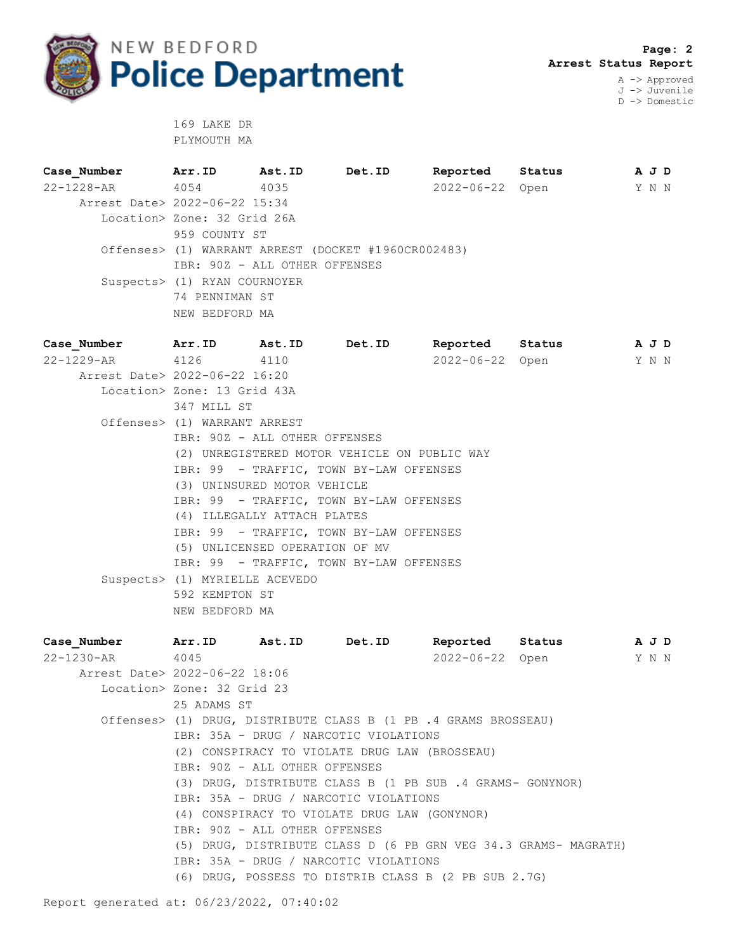

 **Page: 2 Arrest Status Report** A -> Approved J -> Juvenile

D -> Domestic

 169 LAKE DR PLYMOUTH MA

**Case\_Number Arr.ID Ast.ID Det.ID Reported Status A J D** 22-1228-AR 4054 4035 2022-06-22 Open Y N N Arrest Date> 2022-06-22 15:34 Location> Zone: 32 Grid 26A 959 COUNTY ST Offenses> (1) WARRANT ARREST (DOCKET #1960CR002483) IBR: 90Z - ALL OTHER OFFENSES Suspects> (1) RYAN COURNOYER 74 PENNIMAN ST NEW BEDFORD MA

**Case\_Number Arr.ID Ast.ID Det.ID Reported Status A J D** 22-1229-AR 4126 4110 2022-06-22 Open Y N N Arrest Date> 2022-06-22 16:20 Location> Zone: 13 Grid 43A 347 MILL ST Offenses> (1) WARRANT ARREST IBR: 90Z - ALL OTHER OFFENSES (2) UNREGISTERED MOTOR VEHICLE ON PUBLIC WAY IBR: 99 - TRAFFIC, TOWN BY-LAW OFFENSES (3) UNINSURED MOTOR VEHICLE IBR: 99 - TRAFFIC, TOWN BY-LAW OFFENSES (4) ILLEGALLY ATTACH PLATES IBR: 99 - TRAFFIC, TOWN BY-LAW OFFENSES (5) UNLICENSED OPERATION OF MV IBR: 99 - TRAFFIC, TOWN BY-LAW OFFENSES Suspects> (1) MYRIELLE ACEVEDO 592 KEMPTON ST NEW BEDFORD MA

**Case\_Number Arr.ID Ast.ID Det.ID Reported Status A J D** 22-1230-AR 4045 2022-06-22 Open Y N N Arrest Date> 2022-06-22 18:06 Location> Zone: 32 Grid 23 25 ADAMS ST Offenses> (1) DRUG, DISTRIBUTE CLASS B (1 PB .4 GRAMS BROSSEAU) IBR: 35A - DRUG / NARCOTIC VIOLATIONS (2) CONSPIRACY TO VIOLATE DRUG LAW (BROSSEAU) IBR: 90Z - ALL OTHER OFFENSES (3) DRUG, DISTRIBUTE CLASS B (1 PB SUB .4 GRAMS- GONYNOR) IBR: 35A - DRUG / NARCOTIC VIOLATIONS (4) CONSPIRACY TO VIOLATE DRUG LAW (GONYNOR) IBR: 90Z - ALL OTHER OFFENSES (5) DRUG, DISTRIBUTE CLASS D (6 PB GRN VEG 34.3 GRAMS- MAGRATH) IBR: 35A - DRUG / NARCOTIC VIOLATIONS (6) DRUG, POSSESS TO DISTRIB CLASS B (2 PB SUB 2.7G)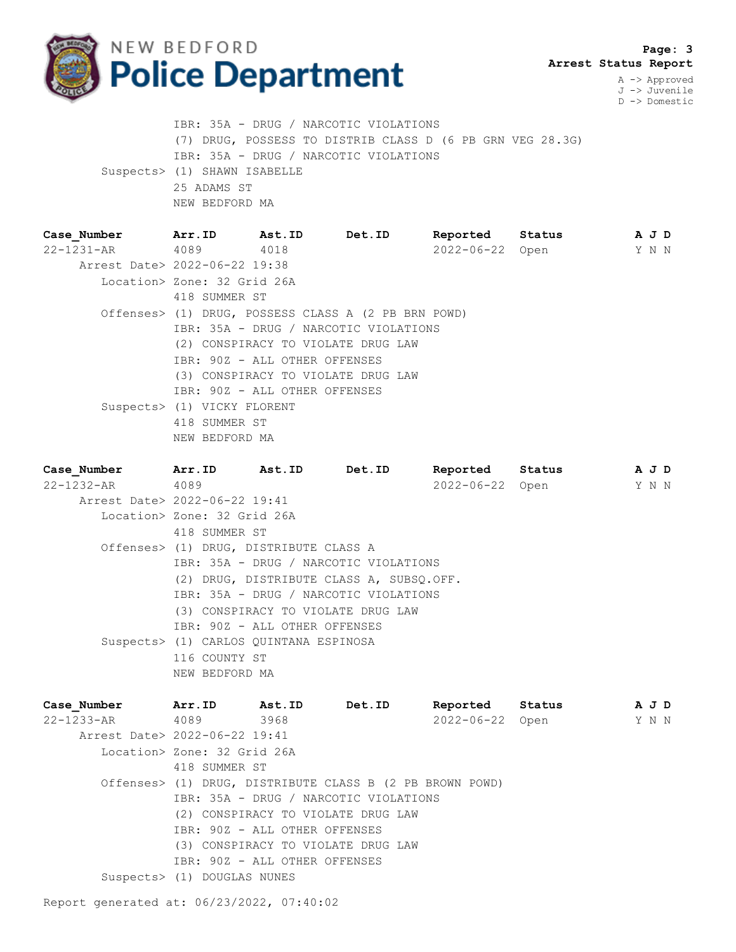

 **Page: 3 Arrest Status Report**

A -> Approved J -> Juvenile D -> Domestic

 IBR: 35A - DRUG / NARCOTIC VIOLATIONS (7) DRUG, POSSESS TO DISTRIB CLASS D (6 PB GRN VEG 28.3G) IBR: 35A - DRUG / NARCOTIC VIOLATIONS Suspects> (1) SHAWN ISABELLE 25 ADAMS ST NEW BEDFORD MA

| Case Number                   | Arr.ID                             | Ast.ID                             | Det.ID                                              | Reported        | Status | A J D |  |
|-------------------------------|------------------------------------|------------------------------------|-----------------------------------------------------|-----------------|--------|-------|--|
| 22-1231-AR                    | 4089                               | 4018                               |                                                     | 2022-06-22 Open |        | Y N N |  |
| Arrest Date> 2022-06-22 19:38 |                                    |                                    |                                                     |                 |        |       |  |
|                               | Location> Zone: 32 Grid 26A        |                                    |                                                     |                 |        |       |  |
|                               | 418 SUMMER ST                      |                                    |                                                     |                 |        |       |  |
|                               |                                    |                                    | Offenses> (1) DRUG, POSSESS CLASS A (2 PB BRN POWD) |                 |        |       |  |
|                               |                                    |                                    | IBR: 35A - DRUG / NARCOTIC VIOLATIONS               |                 |        |       |  |
|                               | (2) CONSPIRACY TO VIOLATE DRUG LAW |                                    |                                                     |                 |        |       |  |
|                               |                                    | IBR: 90Z - ALL OTHER OFFENSES      |                                                     |                 |        |       |  |
|                               |                                    | (3) CONSPIRACY TO VIOLATE DRUG LAW |                                                     |                 |        |       |  |
|                               |                                    | IBR: 90Z - ALL OTHER OFFENSES      |                                                     |                 |        |       |  |
|                               | Suspects> (1) VICKY FLORENT        |                                    |                                                     |                 |        |       |  |
|                               | 418 SUMMER ST                      |                                    |                                                     |                 |        |       |  |
|                               | NEW BEDFORD MA                     |                                    |                                                     |                 |        |       |  |

**Case\_Number Arr.ID Ast.ID Det.ID Reported Status A J D** 22-1232-AR 4089 2022-06-22 Open Y N N Arrest Date> 2022-06-22 19:41 Location> Zone: 32 Grid 26A 418 SUMMER ST Offenses> (1) DRUG, DISTRIBUTE CLASS A IBR: 35A - DRUG / NARCOTIC VIOLATIONS (2) DRUG, DISTRIBUTE CLASS A, SUBSQ.OFF. IBR: 35A - DRUG / NARCOTIC VIOLATIONS (3) CONSPIRACY TO VIOLATE DRUG LAW IBR: 90Z - ALL OTHER OFFENSES Suspects> (1) CARLOS QUINTANA ESPINOSA 116 COUNTY ST NEW BEDFORD MA

| Case Number                   | Arr.ID                        | Ast.ID | Det.ID                                                   | Reported Status |  | A J D |  |
|-------------------------------|-------------------------------|--------|----------------------------------------------------------|-----------------|--|-------|--|
| 22-1233-AR 4089               |                               | 3968   |                                                          | 2022-06-22 Open |  | Y N N |  |
| Arrest Date> 2022-06-22 19:41 |                               |        |                                                          |                 |  |       |  |
|                               | Location> Zone: 32 Grid 26A   |        |                                                          |                 |  |       |  |
|                               | 418 SUMMER ST                 |        |                                                          |                 |  |       |  |
|                               |                               |        | Offenses> (1) DRUG, DISTRIBUTE CLASS B (2 PB BROWN POWD) |                 |  |       |  |
|                               |                               |        | IBR: 35A - DRUG / NARCOTIC VIOLATIONS                    |                 |  |       |  |
|                               |                               |        | (2) CONSPIRACY TO VIOLATE DRUG LAW                       |                 |  |       |  |
|                               | IBR: 90Z - ALL OTHER OFFENSES |        |                                                          |                 |  |       |  |
|                               |                               |        | (3) CONSPIRACY TO VIOLATE DRUG LAW                       |                 |  |       |  |
|                               | IBR: 90Z - ALL OTHER OFFENSES |        |                                                          |                 |  |       |  |
|                               | Suspects> (1) DOUGLAS NUNES   |        |                                                          |                 |  |       |  |